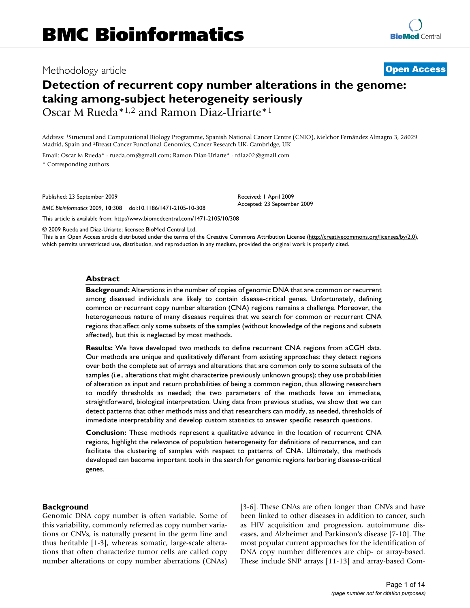# Methodology article **[Open Access](http://www.biomedcentral.com/info/about/charter/)**

# **Detection of recurrent copy number alterations in the genome: taking among-subject heterogeneity seriously**

Oscar M Rueda\*1,2 and Ramon Diaz-Uriarte\*1

Address: 1Structural and Computational Biology Programme, Spanish National Cancer Centre (CNIO), Melchor Fernández Almagro 3, 28029 Madrid, Spain and 2Breast Cancer Functional Genomics, Cancer Research UK, Cambridge, UK

Email: Oscar M Rueda\* - rueda.om@gmail.com; Ramon Diaz-Uriarte\* - rdiaz02@gmail.com \* Corresponding authors

Published: 23 September 2009

*BMC Bioinformatics* 2009, **10**:308 doi:10.1186/1471-2105-10-308

[This article is available from: http://www.biomedcentral.com/1471-2105/10/308](http://www.biomedcentral.com/1471-2105/10/308)

© 2009 Rueda and Diaz-Uriarte; licensee BioMed Central Ltd.

This is an Open Access article distributed under the terms of the Creative Commons Attribution License [\(http://creativecommons.org/licenses/by/2.0\)](http://creativecommons.org/licenses/by/2.0), which permits unrestricted use, distribution, and reproduction in any medium, provided the original work is properly cited.

Received: 1 April 2009 Accepted: 23 September 2009

#### **Abstract**

**Background:** Alterations in the number of copies of genomic DNA that are common or recurrent among diseased individuals are likely to contain disease-critical genes. Unfortunately, defining common or recurrent copy number alteration (CNA) regions remains a challenge. Moreover, the heterogeneous nature of many diseases requires that we search for common or recurrent CNA regions that affect only some subsets of the samples (without knowledge of the regions and subsets affected), but this is neglected by most methods.

**Results:** We have developed two methods to define recurrent CNA regions from aCGH data. Our methods are unique and qualitatively different from existing approaches: they detect regions over both the complete set of arrays and alterations that are common only to some subsets of the samples (i.e., alterations that might characterize previously unknown groups); they use probabilities of alteration as input and return probabilities of being a common region, thus allowing researchers to modify thresholds as needed; the two parameters of the methods have an immediate, straightforward, biological interpretation. Using data from previous studies, we show that we can detect patterns that other methods miss and that researchers can modify, as needed, thresholds of immediate interpretability and develop custom statistics to answer specific research questions.

**Conclusion:** These methods represent a qualitative advance in the location of recurrent CNA regions, highlight the relevance of population heterogeneity for definitions of recurrence, and can facilitate the clustering of samples with respect to patterns of CNA. Ultimately, the methods developed can become important tools in the search for genomic regions harboring disease-critical genes.

#### **Background**

Genomic DNA copy number is often variable. Some of this variability, commonly referred as copy number variations or CNVs, is naturally present in the germ line and thus heritable [1-3], whereas somatic, large-scale alterations that often characterize tumor cells are called copy number alterations or copy number aberrations (CNAs)

[3-6]. These CNAs are often longer than CNVs and have been linked to other diseases in addition to cancer, such as HIV acquisition and progression, autoimmune diseases, and Alzheimer and Parkinson's disease [7-10]. The most popular current approaches for the identification of DNA copy number differences are chip- or array-based. These include SNP arrays [11-13] and array-based Com-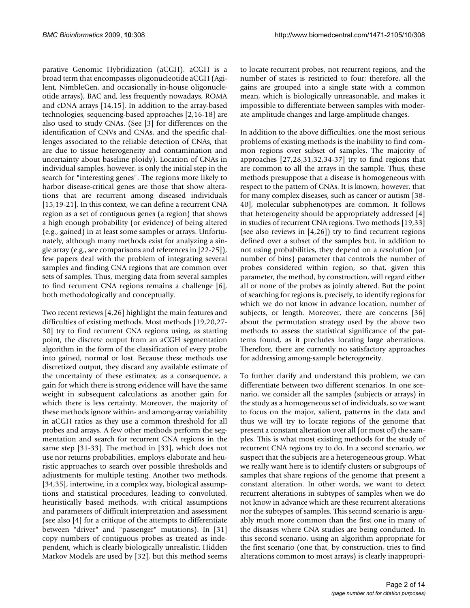parative Genomic Hybridization (aCGH). aCGH is a broad term that encompasses oligonucleotide aCGH (Agilent, NimbleGen, and occasionally in-house oligonucleotide arrays), BAC and, less frequently nowadays, ROMA and cDNA arrays [14,15]. In addition to the array-based technologies, sequencing-based approaches [2,16-18] are also used to study CNAs. (See [3] for differences on the identification of CNVs and CNAs, and the specific challenges associated to the reliable detection of CNAs, that are due to tissue heterogeneity and contamination and uncertainty about baseline ploidy). Location of CNAs in individual samples, however, is only the initial step in the search for "interesting genes". The regions more likely to harbor disease-critical genes are those that show alterations that are recurrent among diseased individuals [15,19-21]. In this context, we can define a recurrent CNA region as a set of contiguous genes (a region) that shows a high enough probability (or evidence) of being altered (e.g., gained) in at least some samples or arrays. Unfortunately, although many methods exist for analyzing a single array (e.g., see comparisons and references in [22-25]), few papers deal with the problem of integrating several samples and finding CNA regions that are common over sets of samples. Thus, merging data from several samples to find recurrent CNA regions remains a challenge [6], both methodologically and conceptually.

Two recent reviews [4,26] highlight the main features and difficulties of existing methods. Most methods [19,20,27- 30] try to find recurrent CNA regions using, as starting point, the discrete output from an aCGH segmentation algorithm in the form of the classification of every probe into gained, normal or lost. Because these methods use discretized output, they discard any available estimate of the uncertainty of these estimates; as a consequence, a gain for which there is strong evidence will have the same weight in subsequent calculations as another gain for which there is less certainty. Moreover, the majority of these methods ignore within- and among-array variability in aCGH ratios as they use a common threshold for all probes and arrays. A few other methods perform the segmentation and search for recurrent CNA regions in the same step [31-33]. The method in [33], which does not use nor returns probabilities, employs elaborate and heuristic approaches to search over possible thresholds and adjustments for multiple testing. Another two methods, [34,35], intertwine, in a complex way, biological assumptions and statistical procedures, leading to convoluted, heuristically based methods, with critical assumptions and parameters of difficult interpretation and assessment (see also [4] for a critique of the attempts to differentiate between "driver" and "passenger" mutations). In [31] copy numbers of contiguous probes as treated as independent, which is clearly biologically unrealistic. Hidden Markov Models are used by [32], but this method seems

to locate recurrent probes, not recurrent regions, and the number of states is restricted to four; therefore, all the gains are grouped into a single state with a common mean, which is biologically unreasonable, and makes it impossible to differentiate between samples with moderate amplitude changes and large-amplitude changes.

In addition to the above difficulties, one the most serious problems of existing methods is the inability to find common regions over subset of samples. The majority of approaches [27,28,31,32,34-37] try to find regions that are common to all the arrays in the sample. Thus, these methods presuppose that a disease is homogeneous with respect to the pattern of CNAs. It is known, however, that for many complex diseases, such as cancer or autism [38- 40], molecular subphenotypes are common. It follows that heterogeneity should be appropriately addressed [4] in studies of recurrent CNA regions. Two methods [19,33] (see also reviews in  $[4,26]$ ) try to find recurrent regions defined over a subset of the samples but, in addition to not using probabilities, they depend on a resolution (or number of bins) parameter that controls the number of probes considered within region, so that, given this parameter, the method, by construction, will regard either all or none of the probes as jointly altered. But the point of searching for regions is, precisely, to identify regions for which we do not know in advance location, number of subjects, or length. Moreover, there are concerns [36] about the permutation strategy used by the above two methods to assess the statistical significance of the patterns found, as it precludes locating large aberrations. Therefore, there are currently no satisfactory approaches for addressing among-sample heterogeneity.

To further clarify and understand this problem, we can differentiate between two different scenarios. In one scenario, we consider all the samples (subjects or arrays) in the study as a homogeneous set of individuals, so we want to focus on the major, salient, patterns in the data and thus we will try to locate regions of the genome that present a constant alteration over all (or most of) the samples. This is what most existing methods for the study of recurrent CNA regions try to do. In a second scenario, we suspect that the subjects are a heterogeneous group. What we really want here is to identify clusters or subgroups of samples that share regions of the genome that present a constant alteration. In other words, we want to detect recurrent alterations in subtypes of samples when we do not know in advance which are these recurrent alterations nor the subtypes of samples. This second scenario is arguably much more common than the first one in many of the diseases where CNA studies are being conducted. In this second scenario, using an algorithm appropriate for the first scenario (one that, by construction, tries to find alterations common to most arrays) is clearly inappropri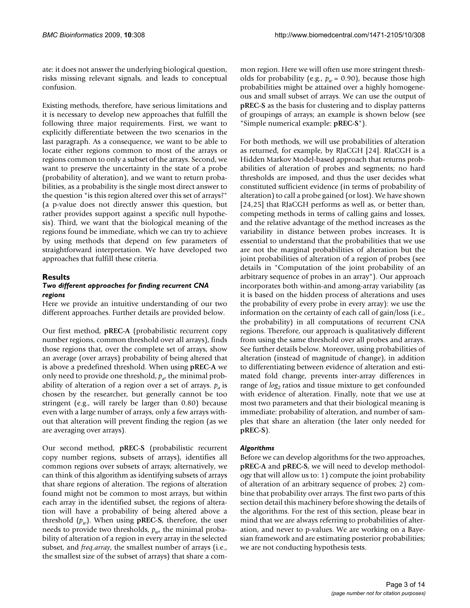ate: it does not answer the underlying biological question, risks missing relevant signals, and leads to conceptual confusion.

Existing methods, therefore, have serious limitations and it is necessary to develop new approaches that fulfill the following three major requirements. First, we want to explicitly differentiate between the two scenarios in the last paragraph. As a consequence, we want to be able to locate either regions common to most of the arrays or regions common to only a subset of the arrays. Second, we want to preserve the uncertainty in the state of a probe (probability of alteration), and we want to return probabilities, as a probability is the single most direct answer to the question "is this region altered over this set of arrays?" (a p-value does not directly answer this question, but rather provides support against a specific null hypothesis). Third, we want that the biological meaning of the regions found be immediate, which we can try to achieve by using methods that depend on few parameters of straightforward interpretation. We have developed two approaches that fulfill these criteria.

# **Results**

#### *Two different approaches for finding recurrent CNA regions*

Here we provide an intuitive understanding of our two different approaches. Further details are provided below.

Our first method, **pREC-A** (probabilistic recurrent copy number regions, common threshold over all arrays), finds those regions that, over the complete set of arrays, show an average (over arrays) probability of being altered that is above a predefined threshold. When using **pREC-A** we only need to provide one threshold,  $p_{a}$ , the minimal probability of alteration of a region over a set of arrays.  $p_a$  is chosen by the researcher, but generally cannot be too stringent (e.g., will rarely be larger than 0.80) because even with a large number of arrays, only a few arrays without that alteration will prevent finding the region (as we are averaging over arrays).

Our second method, **pREC-S** (probabilistic recurrent copy number regions, subsets of arrays), identifies all common regions over subsets of arrays; alternatively, we can think of this algorithm as identifying subsets of arrays that share regions of alteration. The regions of alteration found might not be common to most arrays, but within each array in the identified subset, the regions of alteration will have a probability of being altered above a threshold  $(p_w)$ . When using **pREC-S**, therefore, the user needs to provide two thresholds,  $p_{w}$ , the minimal probability of alteration of a region in every array in the selected subset, and *freq.array*, the smallest number of arrays (i.e., the smallest size of the subset of arrays) that share a common region. Here we will often use more stringent thresholds for probability (e.g.,  $p_w = 0.90$ ), because those high probabilities might be attained over a highly homogeneous and small subset of arrays. We can use the output of **pREC-S** as the basis for clustering and to display patterns of groupings of arrays; an example is shown below (see "Simple numerical example: **pREC-S**").

For both methods, we will use probabilities of alteration as returned, for example, by RJaCGH [24]. RJaCGH is a Hidden Markov Model-based approach that returns probabilities of alteration of probes and segments; no hard thresholds are imposed, and thus the user decides what constituted sufficient evidence (in terms of probability of alteration) to call a probe gained (or lost). We have shown [24,25] that RJaCGH performs as well as, or better than, competing methods in terms of calling gains and losses, and the relative advantage of the method increases as the variability in distance between probes increases. It is essential to understand that the probabilities that we use are not the marginal probabilities of alteration but the joint probabilities of alteration of a region of probes (see details in "Computation of the joint probability of an arbitrary sequence of probes in an array"). Our approach incorporates both within-and among-array variability (as it is based on the hidden process of alterations and uses the probability of every probe in every array): we use the information on the certainty of each call of gain/loss (i.e., the probability) in all computations of recurrent CNA regions. Therefore, our approach is qualitatively different from using the same threshold over all probes and arrays. See further details below. Moreover, using probabilities of alteration (instead of magnitude of change), in addition to differentiating between evidence of alteration and estimated fold change, prevents inter-array differences in range of *log*<sub>2</sub> ratios and tissue mixture to get confounded with evidence of alteration. Finally, note that we use at most two parameters and that their biological meaning is immediate: probability of alteration, and number of samples that share an alteration (the later only needed for **pREC-S**).

# *Algorithms*

Before we can develop algorithms for the two approaches, **pREC-A** and **pREC-S**, we will need to develop methodology that will allow us to: 1) compute the joint probability of alteration of an arbitrary sequence of probes; 2) combine that probability over arrays. The first two parts of this section detail this machinery before showing the details of the algorithms. For the rest of this section, please bear in mind that we are always referring to probabilities of alteration, and never to p-values. We are working on a Bayesian framework and are estimating posterior probabilities; we are not conducting hypothesis tests.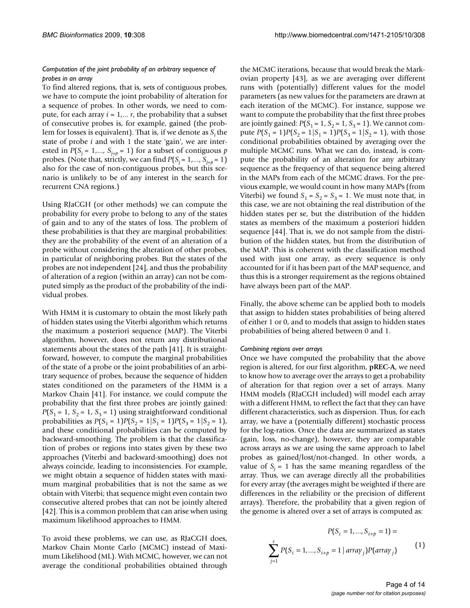#### *Computation of the joint probability of an arbitrary sequence of probes in an array*

To find altered regions, that is, sets of contiguous probes, we have to compute the joint probability of alteration for a sequence of probes. In other words, we need to compute, for each array  $i = 1, \ldots r$ , the probability that a subset of consecutive probes is, for example, gained (the problem for losses is equivalent). That is, if we denote as *Si* the state of probe *i* and with 1 the state 'gain', we are interested in  $P(S_j = 1,..., S_{j+p} = 1)$  for a subset of contiguous  $p$ probes. (Note that, strictly, we can find  $P(S_i = 1, ..., S_{i+n} = 1)$ ) also for the case of non-contiguous probes, but this scenario is unlikely to be of any interest in the search for recurrent CNA regions.)

Using RJaCGH (or other methods) we can compute the probability for every probe to belong to any of the states of gain and to any of the states of loss. The problem of these probabilities is that they are marginal probabilities: they are the probability of the event of an alteration of a probe without considering the alteration of other probes, in particular of neighboring probes. But the states of the probes are not independent [24], and thus the probability of alteration of a region (within an array) can not be computed simply as the product of the probability of the individual probes.

With HMM it is customary to obtain the most likely path of hidden states using the Viterbi algorithm which returns the maximum a posteriori sequence (MAP). The Viterbi algorithm, however, does not return any distributional statements about the states of the path [41]. It is straightforward, however, to compute the marginal probabilities of the state of a probe or the joint probabilities of an arbitrary sequence of probes, because the sequence of hidden states conditioned on the parameters of the HMM is a Markov Chain [41]. For instance, we could compute the probability that the first three probes are jointly gained:  $P(S_1 = 1, S_2 = 1, S_3 = 1)$  using straightforward conditional probabilities as  $P(S_1 = 1)P(S_2 = 1|S_1 = 1)P(S_3 = 1|S_2 = 1)$ , and these conditional probabilities can be computed by backward-smoothing. The problem is that the classification of probes or regions into states given by these two approaches (Viterbi and backward-smoothing) does not always coincide, leading to inconsistencies. For example, we might obtain a sequence of hidden states with maximum marginal probabilities that is not the same as we obtain with Viterbi; that sequence might even contain two consecutive altered probes that can not be jointly altered [42]. This is a common problem that can arise when using maximum likelihood approaches to HMM.

To avoid these problems, we can use, as RJaCGH does, Markov Chain Monte Carlo (MCMC) instead of Maximum Likelihood (ML). With MCMC, however, we can not average the conditional probabilities obtained through

the MCMC iterations, because that would break the Markovian property [43], as we are averaging over different runs with (potentially) different values for the model parameters (as new values for the parameters are drawn at each iteration of the MCMC). For instance, suppose we want to compute the probability that the first three probes are jointly gained:  $P(S_1 = 1, S_2 = 1, S_3 = 1)$ . We cannot compute  $P(S_1 = 1)P(S_2 = 1|S_1 = 1)P(S_3 = 1|S_2 = 1)$ , with those conditional probabilities obtained by averaging over the multiple MCMC runs. What we can do, instead, is compute the probability of an alteration for any arbitrary sequence as the frequency of that sequence being altered in the MAPs from each of the MCMC draws. For the previous example, we would count in how many MAPs (from Viterbi) we found  $S_1 = S_2 = S_3 = 1$ . We must note that, in this case, we are not obtaining the real distribution of the hidden states per se, but the distribution of the hidden states as members of the maximum a posteriori hidden sequence [44]. That is, we do not sample from the distribution of the hidden states, but from the distribution of the MAP. This is coherent with the classification method used with just one array, as every sequence is only accounted for if it has been part of the MAP sequence, and thus this is a stronger requirement as the regions obtained have always been part of the MAP.

Finally, the above scheme can be applied both to models that assign to hidden states probabilities of being altered of either 1 or 0, and to models that assign to hidden states probabilities of being altered between 0 and 1.

#### *Combining regions over arrays*

Once we have computed the probability that the above region is altered, for our first algorithm, **pREC-A**, we need to know how to average over the arrays to get a probability of alteration for that region over a set of arrays. Many HMM models (RJaCGH included) will model each array with a different HMM, to reflect the fact that they can have different characteristics, such as dispersion. Thus, for each array, we have a (potentially different) stochastic process for the log-ratios. Once the data are summarized as states (gain, loss, no-change), however, they are comparable across arrays as we are using the same approach to label probes as gained/lost/not-changed. In other words, a value of  $S_i = 1$  has the same meaning regardless of the array. Thus, we can average directly all the probabilities for every array (the averages might be weighted if there are differences in the reliability or the precision of different arrays). Therefore, the probability that a given region of the genome is altered over a set of arrays is computed as:

$$
P(S_i = 1, ..., S_{i+p} = 1) =
$$
  

$$
\sum_{j=1}^{r} P(S_i = 1, ..., S_{i+p} = 1 | array_j) P(array_j)
$$
 (1)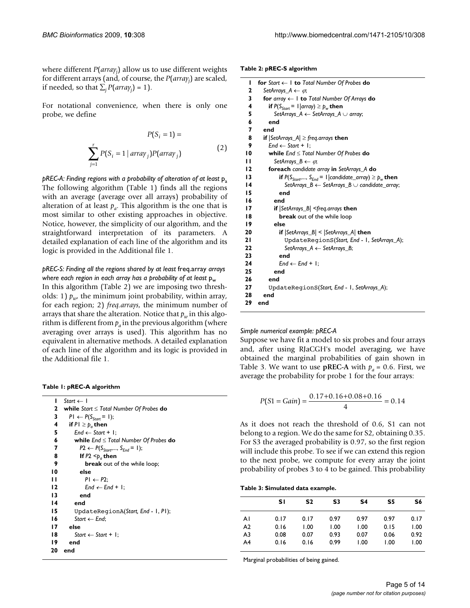where different *P*(*arrayj* ) allow us to use different weights for different arrays (and, of course, the *P*(*arrayj* ) are scaled, if needed, so that  $\sum_j P(array_j) = 1$ ).

For notational convenience, when there is only one probe, we define

$$
P(S_i = 1) =
$$
  

$$
\sum_{j=1}^{r} P(S_i = 1 | array_j) P(array_j)
$$
 (2)

*pREC-A: Finding regions with a probability of alteration of at least* **p**<sub>a</sub> The following algorithm (Table 1) finds all the regions with an average (average over all arrays) probability of alteration of at least  $p_a$ . This algorithm is the one that is most similar to other existing approaches in objective. Notice, however, the simplicity of our algorithm, and the straightforward interpretation of its parameters. A detailed explanation of each line of the algorithm and its logic is provided in the Additional file 1.

*pREC-S: Finding all the regions shared by at least* freq.array *arrays*  where each region in each array has a probability of at least  $p_w$ 

In this algorithm (Table 2) we are imposing two thresholds: 1)  $p_{w}$  the minimum joint probability, within array, for each region; 2) *freq.arrays*, the minimum number of arrays that share the alteration. Notice that  $p_w$  in this algorithm is different from  $p_a$  in the previous algorithm (where averaging over arrays is used). This algorithm has no equivalent in alternative methods. A detailed explanation of each line of the algorithm and its logic is provided in the Additional file 1.

#### **Table 1: pREC-A algorithm**

| ı  | Start $\leftarrow$ 1                         |
|----|----------------------------------------------|
| 2  | while Start $\leq$ Total Number Of Probes do |
| 3  | $PI \leftarrow P(S_{start} = 1);$            |
| 4  | if $PI \geq p_a$ then                        |
| 5. | $End \leftarrow Start + 1$ :                 |
| 6  | while $End \leq Total$ Number Of Probes do   |
| 7  | $P2 \leftarrow P(S_{Start}, S_{End} = 1);$   |
| 8  | If $P2 \leq p_a$ then                        |
| 9  | <b>break</b> out of the while loop;          |
| 10 | else                                         |
| п  | $PI \leftarrow P2$ :                         |
| 12 | $End \leftarrow End + 1$ :                   |
| 13 | end                                          |
| 14 | end                                          |
| 15 | UpdateRegionA(Start, End - I, PI);           |
| 16 | Start $\leftarrow$ End:                      |
| 17 | else                                         |
| 18 | Start $\leftarrow$ Start + 1:                |
| 19 | end                                          |
| 20 | end                                          |

**Table 2: pREC-S algorithm**

| г  | for Start $\leftarrow$ 1 to Total Number Of Probes do                          |
|----|--------------------------------------------------------------------------------|
| 2  | SetArrays $A \leftarrow \varphi$                                               |
| 3  | <b>for</b> array $\leftarrow$ 1 to Total Number Of Arrays do                   |
| 4  | if $P(S_{Start} = 1   array) \ge p_w$ then                                     |
| 5  | SetArrays $A \leftarrow$ SetArrays $A \cup$ array;                             |
| 6  | end                                                                            |
| 7  | end                                                                            |
| 8  | if $ SetArrays_A  \geq freq.array$ s then                                      |
| 9  | $End \leftarrow Start + 1$ :                                                   |
| 10 | while $End \leq Total$ Number Of Probes do                                     |
| п  | SetArrays $B \leftarrow \varphi$                                               |
| 12 | foreach candidate array in SetArrays A do                                      |
| 13 | <b>if</b> $P(S_{Start},, S_{End} = 1   candidate\_array) \ge p_w$ then         |
| 14 | SetArrays_B $\leftarrow$ SetArrays_B $\cup$ candidate_array;                   |
| 15 | end                                                                            |
| 16 | end                                                                            |
| 17 | if $\left \mathsf{SetArrays\_B}\right  \leq \mathsf{freq}.\mathsf{array}$ then |
| 18 | <b>break</b> out of the while loop                                             |
| 19 | else                                                                           |
| 20 | if $ SetArrays_B  <  SetArrays_A $ then                                        |
| 21 | UpdateRegionS(Start, End - I, SetArrays_A);                                    |
| 22 | SetArrays $A \leftarrow$ SetArrays B;                                          |
| 23 | end                                                                            |
| 24 | $End \leftarrow End + 1$ :                                                     |
| 25 | end                                                                            |
| 26 | end                                                                            |
| 27 | UpdateRegionS(Start, End - I, SetArrays_A);                                    |
| 28 | end                                                                            |
| 29 | end                                                                            |

#### *Simple numerical example: pREC-A*

Suppose we have fit a model to six probes and four arrays and, after using RJaCGH's model averaging, we have obtained the marginal probabilities of gain shown in Table 3. We want to use **pREC-A** with  $p_a = 0.6$ . First, we average the probability for probe 1 for the four arrays:

$$
P(S1 = Gain) = \frac{0.17 + 0.16 + 0.08 + 0.16}{4} = 0.14
$$

As it does not reach the threshold of 0.6, S1 can not belong to a region. We do the same for S2, obtaining 0.35. For S3 the averaged probability is 0.97, so the first region will include this probe. To see if we can extend this region to the next probe, we compute for every array the joint probability of probes 3 to 4 to be gained. This probability

#### **Table 3: Simulated data example.**

|                | SΙ   | S <sub>2</sub> | S3   | S4   | S5   | S6   |
|----------------|------|----------------|------|------|------|------|
| ΑI             | 0.17 | 0.17           | 0.97 | 0.97 | 0.97 | 0.17 |
| A <sub>2</sub> | 0.16 | 1.00           | 1.00 | 1.00 | 0.15 | 1.00 |
| A <sub>3</sub> | 0.08 | 0.07           | 0.93 | 0.07 | 0.06 | 0.92 |
| A <sub>4</sub> | 0.16 | 0.16           | 0.99 | 1.00 | 1.00 | 1.00 |

Marginal probabilities of being gained.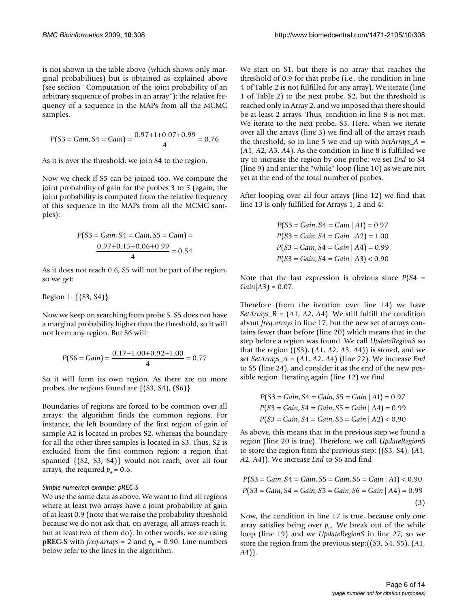is not shown in the table above (which shows only marginal probabilities) but is obtained as explained above (see section "Computation of the joint probability of an arbitrary sequence of probes in an array"): the relative frequency of a sequence in the MAPs from all the MCMC samples.

$$
P(S3 = Gain, S4 = Gain) = \frac{0.97 + 1 + 0.07 + 0.99}{4} = 0.76
$$

As it is over the threshold, we join S4 to the region.

Now we check if S5 can be joined too. We compute the joint probability of gain for the probes 3 to 5 (again, the joint probability is computed from the relative frequency of this sequence in the MAPs from all the MCMC samples):

$$
P(S3 = Gain, S4 = Gain, S5 = Gain) =
$$
  
\n
$$
\frac{0.97 + 0.15 + 0.06 + 0.99}{4} = 0.54
$$

As it does not reach 0.6, S5 will not be part of the region, so we get:

Region 1: {(S3, S4)}.

Now we keep on searching from probe 5. S5 does not have a marginal probability higher than the threshold, so it will not form any region. But S6 will:

$$
P(S6 = Gain) = \frac{0.17 + 1.00 + 0.92 + 1.00}{4} = 0.77
$$

So it will form its own region. As there are no more probes, the regions found are  $\{(S3, S4), (S6)\}.$ 

Boundaries of regions are forced to be common over all arrays: the algorithm finds the common regions. For instance, the left boundary of the first region of gain of sample A2 is located in probes S2, whereas the boundary for all the other three samples is located in S3. Thus, S2 is excluded from the first common region: a region that spanned {(S2, S3, S4)} would not reach, over all four arrays, the required  $p_a = 0.6$ .

#### *Simple numerical example: pREC-S*

We use the same data as above. We want to find all regions where at least two arrays have a joint probability of gain of at least 0.9 (note that we raise the probability threshold because we do not ask that, on average, all arrays reach it, but at least two of them do). In other words, we are using **pREC-S** with *freq.arrays* = 2 and  $p_w$  = 0.90. Line numbers below refer to the lines in the algorithm.

We start on S1, but there is no array that reaches the threshold of 0.9 for that probe (i.e., the condition in line 4 of Table 2 is not fulfilled for any array). We iterate (line 1 of Table 2) to the next probe, S2, but the threshold is reached only in Array 2, and we imposed that there should be at least 2 arrays. Thus, condition in line 8 is not met. We iterate to the next probe, S3. Here, when we iterate over all the arrays (line 3) we find all of the arrays reach the threshold, so in line 5 we end up with *SetArrays\_A* = (*A*1, *A*2, *A*3, *A*4). As the condition in line 8 is fulfilled we try to increase the region by one probe: we set *End* to S4 (line 9) and enter the "while" loop (line 10) as we are not yet at the end of the total number of probes.

After looping over all four arrays (line 12) we find that line 13 is only fulfilled for Arrays 1, 2 and 4:

> $P(S3 = Gain, S4 = Gain | A1) = 0.97$  $P(S3 = Gain, S4 = Gain | A2) = 1.00$  $P(S3 = Gain, S4 = Gain | A4) = 0.99$  $P(S3 = Gain, S4 = Gain | A3) < 0.90$

Note that the last expression is obvious since *P*(*S*4 = *Gain|A*3) = 0.07.

Therefore (from the iteration over line 14) we have *SetArrays\_B* =  $(A1, A2, A4)$ . We still fulfill the condition about *freq.arrays* in line 17, but the new set of arrays contains fewer than before (line 20) which means that in the step before a region was found. We call *UpdateRegionS* so that the region ((*S*3), (*A*1, *A*2, *A*3, *A*4)) is stored, and we set *SetArrays\_A* = (*A*1, *A*2, *A*4) (line 22). We increase *End* to S5 (line 24), and consider it as the end of the new possible region. Iterating again (line 12) we find

$$
P(S3 = Gain, S4 = Gain, S5 = Gain | A1) = 0.97
$$
  
\n
$$
P(S3 = Gain, S4 = Gain, S5 = Gain | A4) = 0.99
$$
  
\n
$$
P(S3 = Gain, S4 = Gain, S5 = Gain | A2) < 0.90
$$

As above, this means that in the previous step we found a region (line 20 is true). Therefore, we call *UpdateRegionS* to store the region from the previous step: ((*S*3, *S*4), (*A*1, *A*2, *A*4)). We increase *End* to S6 and find

$$
P(S3 = Gain, S4 = Gain, S5 = Gain, S6 = Gain | A1) < 0.90
$$
\n
$$
P(S3 = Gain, S4 = Gain, S5 = Gain, S6 = Gain | A4) = 0.99
$$
\n(3)

Now, the condition in line 17 is true, because only one array satisfies being over  $p_w$ . We break out of the while loop (line 19) and we *UpdateRegionS* in line 27, so we store the region from the previous step:((*S*3, *S*4, *S*5), (*A*1, *A*4)).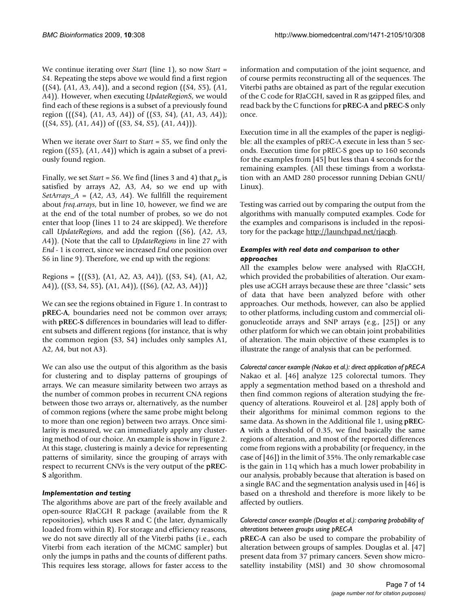We continue iterating over *Start* (line 1), so now *Start* = *S*4. Repeating the steps above we would find a first region ((*S*4), (*A*1, *A*3, *A*4)), and a second region ((*S*4, *S*5), (*A*1, *A*4)). However, when executing *UpdateRegionS*, we would find each of these regions is a subset of a previously found region (((*S*4), (*A*1, *A*3, *A*4)) of ((*S*3, *S*4), (*A*1, *A*3, *A*4)); ((*S*4, *S*5), (*A*1, *A*4)) of ((*S*3, *S*4, *S*5), (*A*1, *A*4))).

When we iterate over *Start* to *Start* = *S*5, we find only the region ((*S*5), (*A*1, *A*4)) which is again a subset of a previously found region.

Finally, we set *Start* = *S6*. We find (lines 3 and 4) that  $p_w$  is satisfied by arrays A2, A3, A4, so we end up with *SetArrays*  $A = (A2, A3, A4)$ . We fullfill the requirement about *freq.arrays*, but in line 10, however, we find we are at the end of the total number of probes, so we do not enter that loop (lines 11 to 24 are skipped). We therefore call *UpdateRegions*, and add the region ((*S*6), (*A*2, *A*3, *A*4)). (Note that the call to *UpdateRegions* in line 27 with *End* - 1 is correct, since we increased *End* one position over S6 in line 9). Therefore, we end up with the regions:

Regions =  $\{((S3), (A1, A2, A3, A4)), ((S3, S4), (A1, A2, A2, A3, A4)\}$ A4)), ((S3, S4, S5), (A1, A4)), ((S6), (A2, A3, A4))}

We can see the regions obtained in Figure 1. In contrast to **pREC-A**, boundaries need not be common over arrays; with **pREC-S** differences in boundaries will lead to different subsets and different regions (for instance, that is why the common region (S3, S4) includes only samples A1, A2, A4, but not A3).

We can also use the output of this algorithm as the basis for clustering and to display patterns of groupings of arrays. We can measure similarity between two arrays as the number of common probes in recurrent CNA regions between those two arrays or, alternatively, as the number of common regions (where the same probe might belong to more than one region) between two arrays. Once similarity is measured, we can immediately apply any clustering method of our choice. An example is show in Figure 2. At this stage, clustering is mainly a device for representing patterns of similarity, since the grouping of arrays with respect to recurrent CNVs is the very output of the **pREC-S** algorithm.

# *Implementation and testing*

The algorithms above are part of the freely available and open-source RJaCGH R package (available from the R repositories), which uses R and C (the later, dynamically loaded from within R). For storage and efficiency reasons, we do not save directly all of the Viterbi paths (i.e., each Viterbi from each iteration of the MCMC sampler) but only the jumps in paths and the counts of different paths. This requires less storage, allows for faster access to the information and computation of the joint sequence, and of course permits reconstructing all of the sequences. The Viterbi paths are obtained as part of the regular execution of the C code for RJaCGH, saved in R as gzipped files, and read back by the C functions for **pREC-A** and **pREC-S** only once.

Execution time in all the examples of the paper is negligible: all the examples of pREC-A execute in less than 5 seconds. Execution time for pREC-S goes up to 160 seconds for the examples from [45] but less than 4 seconds for the remaining examples. (All these timings from a workstation with an AMD 280 processor running Debian GNU/ Linux).

Testing was carried out by comparing the output from the algorithms with manually computed examples. Code for the examples and comparisons is included in the repository for the package [http://launchpad.net/rjacgh.](http://launchpad.net/rjacgh)

### *Examples with real data and comparison to other approaches*

All the examples below were analysed with RJaCGH, which provided the probabilities of alteration. Our examples use aCGH arrays because these are three "classic" sets of data that have been analyzed before with other approaches. Our methods, however, can also be applied to other platforms, including custom and commercial oligonucleotide arrays and SNP arrays (e.g., [25]) or any other platform for which we can obtain joint probabilities of alteration. The main objective of these examples is to illustrate the range of analysis that can be performed.

*Colorectal cancer example (Nakao et al.): direct application of pREC-A* Nakao et al. [46] analyze 125 colorectal tumors. They apply a segmentation method based on a threshold and then find common regions of alteration studying the frequency of alterations. Rouveirol et al. [28] apply both of their algorithms for minimal common regions to the same data. As shown in the Additional file 1, using **pREC-A** with a threshold of 0.35, we find basically the same regions of alteration, and most of the reported differences come from regions with a probability (or frequency, in the case of [46]) in the limit of 35%. The only remarkable case is the gain in 11q which has a much lower probability in our analysis, probably because that alteration is based on a single BAC and the segmentation analysis used in [46] is based on a threshold and therefore is more likely to be affected by outliers.

# *Colorectal cancer example (Douglas et al.): comparing probability of alterations between groups using pREC-A*

**pREC-A** can also be used to compare the probability of alteration between groups of samples. Douglas et al. [47] present data from 37 primary cancers. Seven show microsatellity instability (MSI) and 30 show chromosomal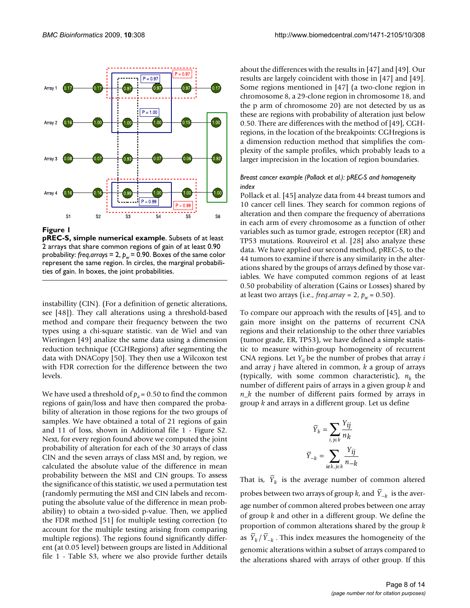

**Figure 1** 

**pREC-S, simple numerical example**. Subsets of at least 2 arrays that share common regions of gain of at least 0.90 probability: *freq.arrays* = 2,  $p_w$  = 0.90. Boxes of the same color represent the same region. In circles, the marginal probabilities of gain. In boxes, the joint probabilities.

instabillity (CIN). (For a definition of genetic alterations, see [48]). They call alterations using a threshold-based method and compare their frequency between the two types using a chi-square statistic. van de Wiel and van Wieringen [49] analize the same data using a dimension reduction technique (CGHRegions) after segmenting the data with DNACopy [50]. They then use a Wilcoxon test with FDR correction for the difference between the two levels.

We have used a threshold of  $p_a$  = 0.50 to find the common regions of gain/loss and have then compared the probability of alteration in those regions for the two groups of samples. We have obtained a total of 21 regions of gain and 11 of loss, shown in Additional file 1 - Figure S2. Next, for every region found above we computed the joint probability of alteration for each of the 30 arrays of class CIN and the seven arrays of class MSI and, by region, we calculated the absolute value of the difference in mean probability between the MSI and CIN groups. To assess the significance of this statistic, we used a permutation test (randomly permuting the MSI and CIN labels and recomputing the absolute value of the difference in mean probability) to obtain a two-sided p-value. Then, we applied the FDR method [51] for multiple testing correction (to account for the multiple testing arising from comparing multiple regions). The regions found significantly different (at 0.05 level) between groups are listed in Additional file 1 - Table S3, where we also provide further details

about the differences with the results in [47] and [49]. Our results are largely coincident with those in [47] and [49]. Some regions mentioned in [47] (a two-clone region in chromosome 8, a 29-clone region in chromosome 18, and the p arm of chromosome 20) are not detected by us as these are regions with probability of alteration just below 0.50. There are differences with the method of [49], CGHregions, in the location of the breakpoints: CGHregions is a dimension reduction method that simplifies the complexity of the sample profiles, which probably leads to a larger imprecision in the location of region boundaries.

### *Breast cancer example (Pollack et al.): pREC-S and homogeneity index*

Pollack et al. [45] analyze data from 44 breast tumors and 10 cancer cell lines. They search for common regions of alteration and then compare the frequency of aberrations in each arm of every chromosome as a function of other variables such as tumor grade, estrogen receptor (ER) and TP53 mutations. Rouveirol et al. [28] also analyze these data. We have applied our second method, pREC-S, to the 44 tumors to examine if there is any similarity in the alterations shared by the groups of arrays defined by those variables. We have computed common regions of at least 0.50 probability of alteration (Gains or Losses) shared by at least two arrays (i.e., *freq.array* = 2,  $p_w$  = 0.50).

To compare our approach with the results of [45], and to gain more insight on the patterns of recurrent CNA regions and their relationship to the other three variables (tumor grade, ER, TP53), we have defined a simple statistic to measure within-group homogeneity of recurrent CNA regions. Let *Yij* be the number of probes that array *i* and array *j* have altered in common, *k* a group of arrays (typically, with some common characteristic),  $n_k$  the number of different pairs of arrays in a given group *k* and *n\_k* the number of different pairs formed by arrays in group *k* and arrays in a different group. Let us define

$$
\overline{Y}_k = \sum_{i,j \in k} \frac{Y_{ij}}{n_k}
$$

$$
\overline{Y}_{-k} = \sum_{i \notin k, j \in k} \frac{Y_{ij}}{n_{-k}}
$$

That is,  $Y_k$  is the average number of common altered probes between two arrays of group  $k$ , and  $Y_{-k}$  is the average number of common altered probes between one array of group *k* and other in a different group. We define the proportion of common alterations shared by the group *k* as  $Y_k / Y_{-k}$ . This index measures the homogeneity of the genomic alterations within a subset of arrays compared to the alterations shared with arrays of other group. If this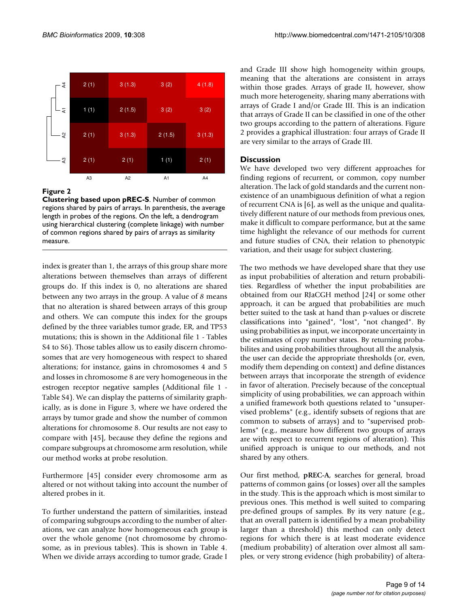

#### **Figure 2**

**Clustering based upon pREC-S**. Number of common regions shared by pairs of arrays. In parenthesis, the average length in probes of the regions. On the left, a dendrogram using hierarchical clustering (complete linkage) with number of common regions shared by pairs of arrays as similarity measure.

index is greater than 1, the arrays of this group share more alterations between themselves than arrays of different groups do. If this index is 0, no alterations are shared between any two arrays in the group. A value of *8* means that no alteration is shared between arrays of this group and others. We can compute this index for the groups defined by the three variables tumor grade, ER, and TP53 mutations; this is shown in the Additional file 1 - Tables S4 to S6). Those tables allow us to easily discern chromosomes that are very homogeneous with respect to shared alterations; for instance, gains in chromosomes 4 and 5 and losses in chromosome 8 are very homogeneous in the estrogen receptor negative samples (Additional file 1 - Table S4). We can display the patterns of similarity graphically, as is done in Figure 3, where we have ordered the arrays by tumor grade and show the number of common alterations for chromosome 8. Our results are not easy to compare with [45], because they define the regions and compare subgroups at chromosome arm resolution, while our method works at probe resolution.

Furthermore [45] consider every chromosome arm as altered or not without taking into account the number of altered probes in it.

To further understand the pattern of similarities, instead of comparing subgroups according to the number of alterations, we can analyze how homogeneous each group is over the whole genome (not chromosome by chromosome, as in previous tables). This is shown in Table 4. When we divide arrays according to tumor grade, Grade I and Grade III show high homogeneity within groups, meaning that the alterations are consistent in arrays within those grades. Arrays of grade II, however, show much more heterogeneity, sharing many aberrations with arrays of Grade I and/or Grade III. This is an indication that arrays of Grade II can be classified in one of the other two groups according to the pattern of alterations. Figure 2 provides a graphical illustration: four arrays of Grade II are very similar to the arrays of Grade III.

# **Discussion**

We have developed two very different approaches for finding regions of recurrent, or common, copy number alteration. The lack of gold standards and the current nonexistence of an unambiguous definition of what a region of recurrent CNA is [6], as well as the unique and qualitatively different nature of our methods from previous ones, make it difficult to compare performance, but at the same time highlight the relevance of our methods for current and future studies of CNA, their relation to phenotypic variation, and their usage for subject clustering.

The two methods we have developed share that they use as input probabilities of alteration and return probabilities. Regardless of whether the input probabilities are obtained from our RJaCGH method [24] or some other approach, it can be argued that probabilities are much better suited to the task at hand than p-values or discrete classifications into "gained", "lost", "not changed". By using probabilities as input, we incorporate uncertainty in the estimates of copy number states. By returning probabilites and using probabilities throughout all the analysis, the user can decide the appropriate thresholds (or, even, modify them depending on context) and define distances between arrays that incorporate the strength of evidence in favor of alteration. Precisely because of the conceptual simplicity of using probabilities, we can approach within a unified framework both questions related to "unsupervised problems" (e.g., identify subsets of regions that are common to subsets of arrays) and to "supervised problems" (e.g., measure how different two groups of arrays are with respect to recurrent regions of alteration). This unified approach is unique to our methods, and not shared by any others.

Our first method, **pREC-A**, searches for general, broad patterns of common gains (or losses) over all the samples in the study. This is the approach which is most similar to previous ones. This method is well suited to comparing pre-defined groups of samples. By its very nature (e.g., that an overall pattern is identified by a mean probability larger than a threshold) this method can only detect regions for which there is at least moderate evidence (medium probability) of alteration over almost all samples, or very strong evidence (high probability) of altera-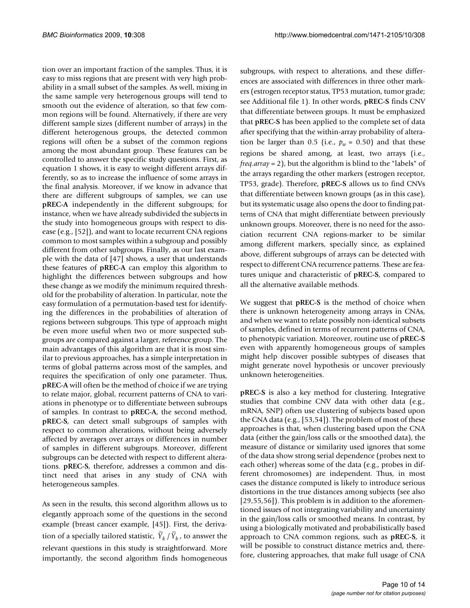tion over an important fraction of the samples. Thus, it is easy to miss regions that are present with very high probability in a small subset of the samples. As well, mixing in the same sample very heterogenous groups will tend to smooth out the evidence of alteration, so that few common regions will be found. Alternatively, if there are very different sample sizes (different number of arrays) in the different heterogenous groups, the detected common regions will often be a subset of the common regions among the most abundant group. These features can be controlled to answer the specific study questions. First, as equation 1 shows, it is easy to weight different arrays differently, so as to increase the influence of some arrays in the final analysis. Moreover, if we know in advance that there are different subgroups of samples, we can use **pREC-A** independently in the different subgroups; for instance, when we have already subdivided the subjects in the study into homogeneous groups with respect to disease (e.g., [52]), and want to locate recurrent CNA regions common to most samples within a subgroup and possibly different from other subgroups. Finally, as our last example with the data of [47] shows, a user that understands these features of **pREC-A** can employ this algorithm to highlight the differences between subgroups and how these change as we modify the minimum required threshold for the probability of alteration. In particular, note the easy formulation of a permutation-based test for identifying the differences in the probabilities of alteration of regions between subgroups. This type of approach might be even more useful when two or more suspected subgroups are compared against a larger, reference group. The main advantages of this algorithm are that it is most similar to previous approaches, has a simple interpretation in terms of global patterns across most of the samples, and requires the specification of only one parameter. Thus, **pREC-A** will often be the method of choice if we are trying to relate major, global, recurrent patterns of CNA to variations in phenotype or to differentiate between subroups of samples. In contrast to **pREC-A**, the second method, **pREC-S**, can detect small subgroups of samples with respect to common alterations, without being adversely affected by averages over arrays or differences in number of samples in different subgroups. Moreover, different subgroups can be detected with respect to different alterations. **pREC-S**, therefore, addresses a common and distinct need that arises in any study of CNA with heterogeneous samples.

As seen in the results, this second algorithm allows us to elegantly approach some of the questions in the second example (breast cancer example, [45]). First, the derivation of a specially tailored statistic,  $Y_k/Y_b$ , to answer the relevant questions in this study is straightforward. More importantly, the second algorithm finds homogeneous

subgroups, with respect to alterations, and these differences are associated with differences in three other markers (estrogen receptor status, TP53 mutation, tumor grade; see Additional file 1). In other words, **pREC-S** finds CNV that differentiate between groups. It must be emphasized that **pREC-S** has been applied to the complete set of data after specifying that the within-array probability of alteration be larger than 0.5 (i.e.,  $p_w = 0.50$ ) and that these regions be shared among, at least, two arrays (i.e., *freq.array* = 2), but the algorithm is blind to the "labels" of the arrays regarding the other markers (estrogen receptor, TP53, grade). Therefore, **pREC-S** allows us to find CNVs that differentiate between known groups (as in this case), but its systematic usage also opens the door to finding patterns of CNA that might differentiate between previously unknown groups. Moreover, there is no need for the association recurrent CNA regions-marker to be similar among different markers, specially since, as explained above, different subgroups of arrays can be detected with respect to different CNA recurrence patterns. These are features unique and characteristic of **pREC-S**, compared to all the alternative available methods.

We suggest that **pREC-S** is the method of choice when there is unknown heterogeneity among arrays in CNAs, and when we want to relate possibly non-identical subsets of samples, defined in terms of recurrent patterns of CNA, to phenotypic variation. Moreover, routine use of **pREC-S** even with apparently homogeneous groups of samples might help discover possible subtypes of diseases that might generate novel hypothesis or uncover previously unknown heterogeneities.

**pREC-S** is also a key method for clustering. Integrative studies that combine CNV data with other data (e.g., mRNA, SNP) often use clustering of subjects based upon the CNA data (e.g., [53,54]). The problem of most of these approaches is that, when clustering based upon the CNA data (either the gain/loss calls or the smoothed data), the measure of distance or similarity used ignores that some of the data show strong serial dependence (probes next to each other) whereas some of the data (e.g., probes in different chromosomes) are independent. Thus, in most cases the distance computed is likely to introduce serious distortions in the true distances among subjects (see also [29,55,56]). This problem is in addition to the aforementioned issues of not integrating variability and uncertainty in the gain/loss calls or smoothed means. In contrast, by using a biologically motivated and probabilistically based approach to CNA common regions, such as **pREC-S**, it will be possible to construct distance metrics and, therefore, clustering approaches, that make full usage of CNA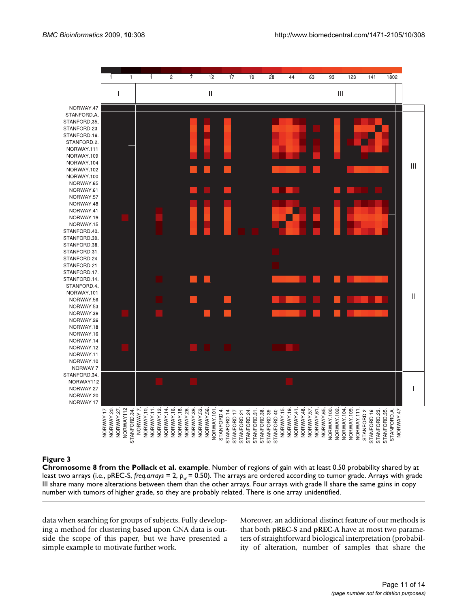

# Figure 3

**Chromosome 8 from the Pollack et al. example**. Number of regions of gain with at least 0.50 probability shared by at least two arrays (i.e., pREC-S, *freq.arrays* = 2,  $p_w$  = 0.50). The arrays are ordered according to tumor grade. Arrays with grade III share many more alterations between them than the other arrays. Four arrays with grade II share the same gains in copy number with tumors of higher grade, so they are probably related. There is one array unidentified.

data when searching for groups of subjects. Fully developing a method for clustering based upon CNA data is outside the scope of this paper, but we have presented a simple example to motivate further work.

Moreover, an additional distinct feature of our methods is that both **pREC-S** and **pREC-A** have at most two parameters of straightforward biological interpretation (probability of alteration, number of samples that share the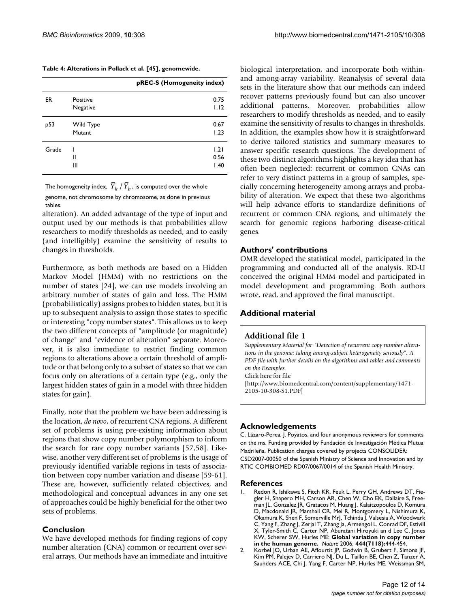| Table 4: Alterations in Pollack et al. [45], genomewide. |  |  |
|----------------------------------------------------------|--|--|
|----------------------------------------------------------|--|--|

|       |           | pREC-S (Homogeneity index) |
|-------|-----------|----------------------------|
| ER    | Positive  | 0.75                       |
|       | Negative  | 1.12                       |
| p53   | Wild Type | 0.67                       |
|       | Mutant    | 1.23                       |
| Grade |           | 1.21                       |
|       | Ш         | 0.56                       |
|       | Ш         | 1.40                       |

The homogeneity index,  $\left.Y_k\right/Y_b$  , is computed over the whole

genome, not chromosome by chromosome, as done in previous tables.

alteration). An added advantage of the type of input and output used by our methods is that probabilities allow researchers to modify thresholds as needed, and to easily (and intelligibly) examine the sensitivity of results to changes in thresholds.

Furthermore, as both methods are based on a Hidden Markov Model (HMM) with no restrictions on the number of states [24], we can use models involving an arbitrary number of states of gain and loss. The HMM (probabilistically) assigns probes to hidden states, but it is up to subsequent analysis to assign those states to specific or interesting "copy number states". This allows us to keep the two different concepts of "amplitude (or magnitude) of change" and "evidence of alteration" separate. Moreover, it is also immediate to restrict finding common regions to alterations above a certain threshold of amplitude or that belong only to a subset of states so that we can focus only on alterations of a certain type (e.g., only the largest hidden states of gain in a model with three hidden states for gain).

Finally, note that the problem we have been addressing is the location, *de novo*, of recurrent CNA regions. A different set of problems is using pre-existing information about regions that show copy number polymorphism to inform the search for rare copy number variants [57,58]. Likewise, another very different set of problems is the usage of previously identified variable regions in tests of association between copy number variation and disease [59-61]. These are, however, sufficiently related objectives, and methodological and conceptual advances in any one set of approaches could be highly beneficial for the other two sets of problems.

# **Conclusion**

We have developed methods for finding regions of copy number alteration (CNA) common or recurrent over several arrays. Our methods have an immediate and intuitive biological interpretation, and incorporate both withinand among-array variability. Reanalysis of several data sets in the literature show that our methods can indeed recover patterns previously found but can also uncover additional patterns. Moreover, probabilities allow researchers to modify thresholds as needed, and to easily examine the sensitivity of results to changes in thresholds. In addition, the examples show how it is straightforward to derive tailored statistics and summary measures to answer specific research questions. The development of these two distinct algorithms highlights a key idea that has often been neglected: recurrent or common CNAs can refer to very distinct patterns in a group of samples, specially concerning heterogeneity among arrays and probability of alteration. We expect that these two algorithms will help advance efforts to standardize definitions of recurrent or common CNA regions, and ultimately the search for genomic regions harboring disease-critical genes.

#### **Authors' contributions**

OMR developed the statistical model, participated in the programming and conducted all of the analysis. RD-U conceived the original HMM model and participated in model development and programming. Both authors wrote, read, and approved the final manuscript.

# **Additional material**

#### **Additional file 1**

*Supplementary Material for "Detection of recurrent copy number alterations in the genome: taking among-subject heterogeneity seriously". A PDF file with further details on the algorithms and tables and comments on the Examples.* Click here for file

[\[http://www.biomedcentral.com/content/supplementary/1471-](http://www.biomedcentral.com/content/supplementary/1471-2105-10-308-S1.PDF)

2105-10-308-S1.PDF]

# **Acknowledgements**

C. Lázaro-Perea, J. Poyatos, and four anonymous reviewers for comments on the ms. Funding provided by Fundación de Investigación Médica Mutua Madrileña. Publication charges covered by projects CONSOLIDER: CSD2007-00050 of the Spanish Ministry of Science and Innovation and by RTIC COMBIOMED RD07/0067/0014 of the Spanish Health Ministry.

#### **References**

- 1. Redon R, Ishikawa S, Fitch KR, Feuk L, Perry GH, Andrews DT, Fiegler H, Shapero MH, Carson AR, Chen W, Cho EK, Dallaire S, Freeman JL, Gonzalez JR, Gratacos M, Huang J, Kalaitzopoulos D, Komura D, Macdonald JR, Marshall CR, Mei R, Montgomery L, Nishimura K, Okamura K, Shen F, Somerville MrJ, Tchinda J, Valsesia A, Woodwark C, Yang F, Zhang J, Zerjal T, Zhang Ja, Armengol L, Conrad DF, Estivill X, Tyler-Smith C, Carter NP, Aburatani Hiroyuki an d Lee C, Jones KW, Scherer SW, Hurles ME: **[Global variation in copy number](http://www.ncbi.nlm.nih.gov/entrez/query.fcgi?cmd=Retrieve&db=PubMed&dopt=Abstract&list_uids=17122850) [in the human genome.](http://www.ncbi.nlm.nih.gov/entrez/query.fcgi?cmd=Retrieve&db=PubMed&dopt=Abstract&list_uids=17122850)** *Nature* 2006, **444(7118):**444-454.
- 2. Korbel JO, Urban AE, Affourtit JP, Godwin B, Grubert F, Simons JF, Kim PM, Palejev D, Carriero NJ, Du L, Taillon BE, Chen Z, Tanzer A, Saunders ACE, Chi J, Yang F, Carter NP, Hurles ME, Weissman SM,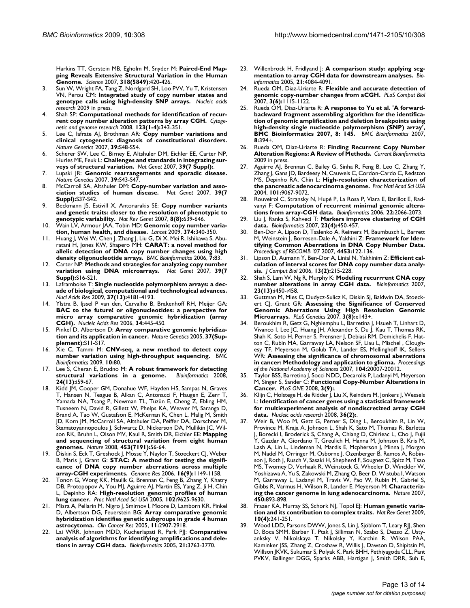Harkins TT, Gerstein MB, Egholm M, Snyder M: **[Paired-End Map](http://www.ncbi.nlm.nih.gov/entrez/query.fcgi?cmd=Retrieve&db=PubMed&dopt=Abstract&list_uids=17901297)[ping Reveals Extensive Structural Variation in the Human](http://www.ncbi.nlm.nih.gov/entrez/query.fcgi?cmd=Retrieve&db=PubMed&dopt=Abstract&list_uids=17901297) [Genome.](http://www.ncbi.nlm.nih.gov/entrez/query.fcgi?cmd=Retrieve&db=PubMed&dopt=Abstract&list_uids=17901297)** *Science* 2007, **318(5849):**420-426.

- 3. Sun W, Wright FA, Tang Z, Nordgard SH, Loo PVV, Yu T, Kristensen VN, Perou CM: **[Integrated study of copy number states and](http://www.ncbi.nlm.nih.gov/entrez/query.fcgi?cmd=Retrieve&db=PubMed&dopt=Abstract&list_uids=19581427) [genotype calls using high-density SNP arrays.](http://www.ncbi.nlm.nih.gov/entrez/query.fcgi?cmd=Retrieve&db=PubMed&dopt=Abstract&list_uids=19581427)** *Nucleic acids research* 2009 in press.
- Shah SP: **[Computational methods for identification of recur](http://www.ncbi.nlm.nih.gov/entrez/query.fcgi?cmd=Retrieve&db=PubMed&dopt=Abstract&list_uids=19287173)[rent copy number alteration patterns by array CGH.](http://www.ncbi.nlm.nih.gov/entrez/query.fcgi?cmd=Retrieve&db=PubMed&dopt=Abstract&list_uids=19287173)** *Cytogenetic and genome research* 2008, **123(1-4):**343-351.
- 5. Lee C, Iafrate AJ, Brothman AR: **[Copy number variations and](http://www.ncbi.nlm.nih.gov/entrez/query.fcgi?cmd=Retrieve&db=PubMed&dopt=Abstract&list_uids=17597782) [clinical cytogenetic diagnosis of constitutional disorders.](http://www.ncbi.nlm.nih.gov/entrez/query.fcgi?cmd=Retrieve&db=PubMed&dopt=Abstract&list_uids=17597782)** *Nature Genetics* 2007, **39:**S48-S54.
- 6. Scherer SW, Lee C, Birney E, Altshuler DM, Eichler EE, Carter NP, Hurles ME, Feuk L: **Challenges and standards in integrating surveys of structural variation.** *Nat Genet* 2007, **39(7 Suppl):**.
- 7. Lupski JR: **[Genomic rearrangements and sporadic disease.](http://www.ncbi.nlm.nih.gov/entrez/query.fcgi?cmd=Retrieve&db=PubMed&dopt=Abstract&list_uids=17597781)** *Nature Genetics* 2007, **39:**S43-S47.
- 8. McCarroll SA, Altshuler DM: **[Copy-number variation and asso](http://www.ncbi.nlm.nih.gov/entrez/query.fcgi?cmd=Retrieve&db=PubMed&dopt=Abstract&list_uids=17597780)[ciation studies of human disease.](http://www.ncbi.nlm.nih.gov/entrez/query.fcgi?cmd=Retrieve&db=PubMed&dopt=Abstract&list_uids=17597780)** *Nat Genet* 2007, **39(7 Suppl):**S37-S42.
- 9. Beckmann JS, Estivill X, Antonarakis SE: **[Copy number variants](http://www.ncbi.nlm.nih.gov/entrez/query.fcgi?cmd=Retrieve&db=PubMed&dopt=Abstract&list_uids=17637735) [and genetic traits: closer to the resolution of phenotypic to](http://www.ncbi.nlm.nih.gov/entrez/query.fcgi?cmd=Retrieve&db=PubMed&dopt=Abstract&list_uids=17637735) [genotypic variability.](http://www.ncbi.nlm.nih.gov/entrez/query.fcgi?cmd=Retrieve&db=PubMed&dopt=Abstract&list_uids=17637735)** *Nat Rev Genet* 2007, **8(8):**639-646.
- 10. Wain LV, Armour JAA, Tobin MD: **[Genomic copy number varia](http://www.ncbi.nlm.nih.gov/entrez/query.fcgi?cmd=Retrieve&db=PubMed&dopt=Abstract&list_uids=19535135)[tion, human health, and disease.](http://www.ncbi.nlm.nih.gov/entrez/query.fcgi?cmd=Retrieve&db=PubMed&dopt=Abstract&list_uids=19535135)** *Lancet* 2009, **374:**340-350.
- 11. Huang J, Wei W, Chen J, Zhang J, Liu G, Di X, Mei R, Ishikawa S, Aburatani H, Jones KW, Shapero MH: **[CARAT: a novel method for](http://www.ncbi.nlm.nih.gov/entrez/query.fcgi?cmd=Retrieve&db=PubMed&dopt=Abstract&list_uids=16504045) [allelic detection of DNA copy number changes using high](http://www.ncbi.nlm.nih.gov/entrez/query.fcgi?cmd=Retrieve&db=PubMed&dopt=Abstract&list_uids=16504045) [density oligonucleotide arrays.](http://www.ncbi.nlm.nih.gov/entrez/query.fcgi?cmd=Retrieve&db=PubMed&dopt=Abstract&list_uids=16504045)** *BMC Bioinformatics* 2006, **7:**83.
- 12. Carter NP: **[Methods and strategies for analyzing copy number](http://www.ncbi.nlm.nih.gov/entrez/query.fcgi?cmd=Retrieve&db=PubMed&dopt=Abstract&list_uids=17597776) [variation using DNA microarrays.](http://www.ncbi.nlm.nih.gov/entrez/query.fcgi?cmd=Retrieve&db=PubMed&dopt=Abstract&list_uids=17597776)** *Nat Genet* 2007, **39(7 Suppl):**S16-S21.
- 13. Laframboise T: **[Single nucleotide polymorphism arrays: a dec](http://www.ncbi.nlm.nih.gov/entrez/query.fcgi?cmd=Retrieve&db=PubMed&dopt=Abstract&list_uids=19570852)[ade of biological, computational and technological advances.](http://www.ncbi.nlm.nih.gov/entrez/query.fcgi?cmd=Retrieve&db=PubMed&dopt=Abstract&list_uids=19570852)** *Nucl Acids Res* 2009, **37(13):**4181-4193.
- 14. Ylstra B, Ijssel P van den, Carvalho B, Brakenhoff RH, Meijer GA: **[BAC to the future! or oligonucleotides: a perspective for](http://www.ncbi.nlm.nih.gov/entrez/query.fcgi?cmd=Retrieve&db=PubMed&dopt=Abstract&list_uids=16439806) micro array comparative genomic hybridization (array [CGH\).](http://www.ncbi.nlm.nih.gov/entrez/query.fcgi?cmd=Retrieve&db=PubMed&dopt=Abstract&list_uids=16439806)** *Nucleic Acids Res* 2006, **34:**445-450.
- 15. Pinkel D, Albertson D: **[Array comparative genomic hybridiza](http://www.ncbi.nlm.nih.gov/entrez/query.fcgi?cmd=Retrieve&db=PubMed&dopt=Abstract&list_uids=15920524)[tion and its application in cancer.](http://www.ncbi.nlm.nih.gov/entrez/query.fcgi?cmd=Retrieve&db=PubMed&dopt=Abstract&list_uids=15920524)** *Nature Genetics* 2005, **37(Supplement):**S11-S17.
- 16. Xie C, Tammi M: **[CNV-seq, a new method to detect copy](http://www.ncbi.nlm.nih.gov/entrez/query.fcgi?cmd=Retrieve&db=PubMed&dopt=Abstract&list_uids=19267900) [number variation using high-throughput sequencing.](http://www.ncbi.nlm.nih.gov/entrez/query.fcgi?cmd=Retrieve&db=PubMed&dopt=Abstract&list_uids=19267900)** *BMC Bioinformatics* 2009, **10:**80.
- 17. Lee S, Cheran E, Brudno M: **[A robust framework for detecting](http://www.ncbi.nlm.nih.gov/entrez/query.fcgi?cmd=Retrieve&db=PubMed&dopt=Abstract&list_uids=18586745) [structural variations in a genome.](http://www.ncbi.nlm.nih.gov/entrez/query.fcgi?cmd=Retrieve&db=PubMed&dopt=Abstract&list_uids=18586745)** *Bioinformatics* 2008, **24(13):**i59-67.
- Kidd JM, Cooper GM, Donahue WF, Hayden HS, Sampas N, Graves T, Hansen N, Teague B, Alkan C, Antonacci F, Haugen E, Zerr T, Yamada NA, Tsang P, Newman TL, Tüzün E, Cheng Z, Ebling HM, Tusneem N, David R, Gillett W, Phelps KA, Weaver M, Saranga D, Brand A, Tao W, Gustafson E, McKernan K, Chen L, Malig M, Smith JD, Korn JM, McCarroll SA, Altshuler DA, Peiffer DA, Dorschner M, Stamatoyannopoulos J, Schwartz D, Nickerson DA, Mullikin JC, Wilson RK, Bruhn L, Olson MV, Kaul R, Smith DR, Eichler EE: **[Mapping](http://www.ncbi.nlm.nih.gov/entrez/query.fcgi?cmd=Retrieve&db=PubMed&dopt=Abstract&list_uids=18451855) [and sequencing of structural variation from eight human](http://www.ncbi.nlm.nih.gov/entrez/query.fcgi?cmd=Retrieve&db=PubMed&dopt=Abstract&list_uids=18451855) [genomes.](http://www.ncbi.nlm.nih.gov/entrez/query.fcgi?cmd=Retrieve&db=PubMed&dopt=Abstract&list_uids=18451855)** *Nature* 2008, **453(7191):**56-64.
- 19. Diskin S, Eck T, Greshock J, Mosse Y, Naylor T, Stoeckert CJ, Weber B, Maris J, Grant G: **[STAC: A method for testing the signifi](http://www.ncbi.nlm.nih.gov/entrez/query.fcgi?cmd=Retrieve&db=PubMed&dopt=Abstract&list_uids=16899652)[cance of DNA copy number aberrations across multiple](http://www.ncbi.nlm.nih.gov/entrez/query.fcgi?cmd=Retrieve&db=PubMed&dopt=Abstract&list_uids=16899652) [array-CGH experiments.](http://www.ncbi.nlm.nih.gov/entrez/query.fcgi?cmd=Retrieve&db=PubMed&dopt=Abstract&list_uids=16899652)** *Genome Res* 2006, **16(9):**1149-1158.
- Tonon G, Wong KK, Maulik G, Brennan C, Feng B, Zhang Y, Khatry DB, Protopopov A, You MJ, Aguirre AJ, Martin ES, Yang Z, Ji H, Chin L, Depinho RA: **[High-resolution genomic profiles of human](http://www.ncbi.nlm.nih.gov/entrez/query.fcgi?cmd=Retrieve&db=PubMed&dopt=Abstract&list_uids=15983384) [lung cancer.](http://www.ncbi.nlm.nih.gov/entrez/query.fcgi?cmd=Retrieve&db=PubMed&dopt=Abstract&list_uids=15983384)** *Proc Natl Acad Sci USA* 2005, **102:**9625-9630.
- 21. Misra A, Pellarin M, Nigro J, Smirnov I, Moore D, Lamborn KR, Pinkel D, Albertson DG, Feuerstein BG: **[Array comparative genomic](http://www.ncbi.nlm.nih.gov/entrez/query.fcgi?cmd=Retrieve&db=PubMed&dopt=Abstract&list_uids=15837741) [hybridization identifies genetic subgroups in grade 4 human](http://www.ncbi.nlm.nih.gov/entrez/query.fcgi?cmd=Retrieve&db=PubMed&dopt=Abstract&list_uids=15837741) [astrocytoma.](http://www.ncbi.nlm.nih.gov/entrez/query.fcgi?cmd=Retrieve&db=PubMed&dopt=Abstract&list_uids=15837741)** *Clin Cancer Res* 2005, **11:**2907-2918.
- 22. Lai WRR, Johnson MDD, Kucherlapati R, Park PJJ: **[Comparative](http://www.ncbi.nlm.nih.gov/entrez/query.fcgi?cmd=Retrieve&db=PubMed&dopt=Abstract&list_uids=16081473) [analysis of algorithms for identifying amplifications and dele](http://www.ncbi.nlm.nih.gov/entrez/query.fcgi?cmd=Retrieve&db=PubMed&dopt=Abstract&list_uids=16081473)[tions in array CGH data.](http://www.ncbi.nlm.nih.gov/entrez/query.fcgi?cmd=Retrieve&db=PubMed&dopt=Abstract&list_uids=16081473)** *Bioinformatics* 2005, **21:**3763-3770.
- 23. Willenbrock H, Fridlyand J: **[A comparison study: applying seg](http://www.ncbi.nlm.nih.gov/entrez/query.fcgi?cmd=Retrieve&db=PubMed&dopt=Abstract&list_uids=16159913)[mentation to array CGH data for downstream analyses.](http://www.ncbi.nlm.nih.gov/entrez/query.fcgi?cmd=Retrieve&db=PubMed&dopt=Abstract&list_uids=16159913)** *Bioinformatics* 2005, **21:**4084-4091.
- 24. Rueda OM, Diaz-Uriarte R: **Flexible and accurate detection of genomic copy-number changes from aCGH.** *PLoS Comput Biol* 2007, **3(6):**1115-1122.
- Rueda OM, Diaz-Uriarte R: [A response to Yu et al. 'A forward](http://www.ncbi.nlm.nih.gov/entrez/query.fcgi?cmd=Retrieve&db=PubMed&dopt=Abstract&list_uids=17939873)**[backward fragment assembling algorithm for the identifica](http://www.ncbi.nlm.nih.gov/entrez/query.fcgi?cmd=Retrieve&db=PubMed&dopt=Abstract&list_uids=17939873)tion of genomic amplification and deletion breakpoints using high-density single nucleotide polymorphism (SNP) array', [BMC Bioinformatics 2007, 8: 145.](http://www.ncbi.nlm.nih.gov/entrez/query.fcgi?cmd=Retrieve&db=PubMed&dopt=Abstract&list_uids=17939873)** *BMC Bioinformatics* 2007, **8:**394+.
- 26. Rueda OM, Diaz-Uriarte R: **Finding Recurrent Copy Number Alteration Regions: A Review of Methods.** *Current Bioinformatics* 2009 in press.
- 27. Aguirre AJ, Brennan C, Bailey G, Sinha R, Feng B, Leo C, Zhang Y, Zhang J, Gans JD, Bardeesy N, Cauwels C, Cordon-Cardo C, Redston MS, Depinho RA, Chin L: **[High-resolution characterization of](http://www.ncbi.nlm.nih.gov/entrez/query.fcgi?cmd=Retrieve&db=PubMed&dopt=Abstract&list_uids=15199222) [the pancreatic adenocarcinoma genome.](http://www.ncbi.nlm.nih.gov/entrez/query.fcgi?cmd=Retrieve&db=PubMed&dopt=Abstract&list_uids=15199222)** *Proc Natl Acad Sci USA* 2004, **101:**9067-9072.
- 28. Rouveirol C, Stransky N, Hupé P, La Rosa P, Viara E, Barillot E, Radvanyi F: **[Computation of recurrent minimal genomic altera](http://www.ncbi.nlm.nih.gov/entrez/query.fcgi?cmd=Retrieve&db=PubMed&dopt=Abstract&list_uids=16820431)[tions from array-CGH data.](http://www.ncbi.nlm.nih.gov/entrez/query.fcgi?cmd=Retrieve&db=PubMed&dopt=Abstract&list_uids=16820431)** *Bioinformatics* 2006, **22:**2066-2073.
- 29. Liu J, Ranka S, Kahveci T: **[Markers improve clustering of CGH](http://www.ncbi.nlm.nih.gov/entrez/query.fcgi?cmd=Retrieve&db=PubMed&dopt=Abstract&list_uids=17150994) [data.](http://www.ncbi.nlm.nih.gov/entrez/query.fcgi?cmd=Retrieve&db=PubMed&dopt=Abstract&list_uids=17150994)** *Bioinformatics* 2007, **23(4):**450-457.
- 30. Ben-Dor A, Lipson D, Tsalenko A, Reimers M, Baumbusch L, Barrett M, Weinstein J, Borresen-Dale A, Yakhini Z: **Framework for Identifying Common Aberrations in DNA Copy Number Data.** *Proceedings of RECOMB '07* 2007, **4453:**122-136.
- 31. Lipson D, Aumann Y, Ben-Dor A, Linial N, Yakhinim Z: **[Efficient cal](http://www.ncbi.nlm.nih.gov/entrez/query.fcgi?cmd=Retrieve&db=PubMed&dopt=Abstract&list_uids=16597236)[culation of interval scores for DNA copy number data analy](http://www.ncbi.nlm.nih.gov/entrez/query.fcgi?cmd=Retrieve&db=PubMed&dopt=Abstract&list_uids=16597236)[sis.](http://www.ncbi.nlm.nih.gov/entrez/query.fcgi?cmd=Retrieve&db=PubMed&dopt=Abstract&list_uids=16597236)** *J Comput Biol* 2006, **13(2):**215-228.
- 32. Shah S, Lam W, Ng R, Murphy K: **[Modeling recurrrent CNA copy](http://www.ncbi.nlm.nih.gov/entrez/query.fcgi?cmd=Retrieve&db=PubMed&dopt=Abstract&list_uids=17646330) [number alterations in array CGH data.](http://www.ncbi.nlm.nih.gov/entrez/query.fcgi?cmd=Retrieve&db=PubMed&dopt=Abstract&list_uids=17646330)** *Bioinformatics* 2007, **23(13):**i450-i458.
- 33. Guttman M, Mies C, Dudycz-Sulicz K, Diskin SJ, Baldwin DA, Stoeckert CJ, Grant GR: **[Assessing the Significance of Conserved](http://www.ncbi.nlm.nih.gov/entrez/query.fcgi?cmd=Retrieve&db=PubMed&dopt=Abstract&list_uids=17722985) [Genomic Aberrations Using High Resolution Genomic](http://www.ncbi.nlm.nih.gov/entrez/query.fcgi?cmd=Retrieve&db=PubMed&dopt=Abstract&list_uids=17722985) [Microarrays.](http://www.ncbi.nlm.nih.gov/entrez/query.fcgi?cmd=Retrieve&db=PubMed&dopt=Abstract&list_uids=17722985)** *PLoS Genetics* 2007, **3(8):**e143+.
- Beroukhim R, Getz G, Nghiemphu L, Barretina J, Hsueh T, Linhart D, Vivanco I, Lee JC, Huang JH, Alexander S, Du J, Kau T, Thomas RK, Shah K, Soto H, Perner S, Prensner J, Debiasi RM, Demichelis F, Hatton C, Rubin MA, Garraway LA, Nelson SF, Liau L, Mischel , Cloughesy TF, Meyerson M, Golub TA, Lander ES, Mellinghoff IK, Sellers WR: **Assessing the significance of chromosomal aberrations in cancer: Methodology and application to glioma.** *Proceedings of the National Academy of Sciences* 2007, **104:**20007-20012.
- Taylor BSS, Barretina J, Socci NDD, Decarolis P, Ladanyi M, Meyerson M, Singer S, Sander C: **Functional Copy-Number Alterations in Cancer.** *PLoS ONE* 2008, **3(9):**.
- 36. Klijn C, Holstege H, de Ridder J, Liu X, Reinders M, Jonkers J, Wessels L: **[Identification of cancer genes using a statistical framework](http://www.ncbi.nlm.nih.gov/entrez/query.fcgi?cmd=Retrieve&db=PubMed&dopt=Abstract&list_uids=18187509) [for multiexperiment analysis of nondiscretized array CGH](http://www.ncbi.nlm.nih.gov/entrez/query.fcgi?cmd=Retrieve&db=PubMed&dopt=Abstract&list_uids=18187509) [data.](http://www.ncbi.nlm.nih.gov/entrez/query.fcgi?cmd=Retrieve&db=PubMed&dopt=Abstract&list_uids=18187509)** *Nucleic acids research* 2008, **36(2):**.
- 37. Weir B, Woo M, Getz G, Perner S, Ding L, Beroukhim R, Lin W, Province M, Kraja A, Johnson L, Shah K, Sato M, Thomas R, Barletta J, Borecki I, Broderick S, Chang A, Chiang D, Chirieac L, Cho J, Fujii Y, Gazdar A, Giordano T, Greulich H, Hanna M, Johnson B, Kris M, Lash A, Lin L, Lindeman N, Mardis E, Mcpherson J, Minna J, Morgan M, Nadel M, Orringer M, Osborne J, Ozenberger B, Ramos A, Robinson J, Roth J, Rusch V, Sasaki H, Shepherd F, Sougnez C, Spitz M, Tsao MS, Twomey D, Verhaak R, Weinstock G, Wheeler D, Winckler W, Yoshizawa A, Yu S, Zakowski M, Zhang Q, Beer D, Wistuba I, Watson M, Garraway L, Ladanyi M, Travis W, Pao W, Rubin M, Gabriel S, Gibbs R, Varmus H, Wilson R, Lander E, Meyerson M: **[Characteriz](http://www.ncbi.nlm.nih.gov/entrez/query.fcgi?cmd=Retrieve&db=PubMed&dopt=Abstract&list_uids=17982442)[ing the cancer genome in lung adenocarcinoma.](http://www.ncbi.nlm.nih.gov/entrez/query.fcgi?cmd=Retrieve&db=PubMed&dopt=Abstract&list_uids=17982442)** *Nature* 2007, **450:**893-898.
- Frazer KA, Murray SS, Schork NJ, Topol EJ: [Human genetic varia](http://www.ncbi.nlm.nih.gov/entrez/query.fcgi?cmd=Retrieve&db=PubMed&dopt=Abstract&list_uids=19293820)**[tion and its contribution to complex traits.](http://www.ncbi.nlm.nih.gov/entrez/query.fcgi?cmd=Retrieve&db=PubMed&dopt=Abstract&list_uids=19293820)** *Nat Rev Genet* 2009, **10(4):**241-251.
- 39. Wood LDD, Parsons DWW, Jones S, Lin J, Sjöblom T, Leary RJJ, Shen D, Boca SMM, Barber T, Ptak J, Silliman N, Szabo S, Dezso Z, Ustyanksky V, Nikolskaya T, Nikolsky Y, Karchin R, Wilson PAA, Kaminker JSS, Zhang Z, Croshaw R, Willis J, Dawson D, Shipitsin M, Willson JKVK, Sukumar S, Polyak K, Park BHH, Pethiyagoda CLL, Pant PVKV, Ballinger DGG, Sparks ABB, Hartigan J, Smith DRR, Suh E,